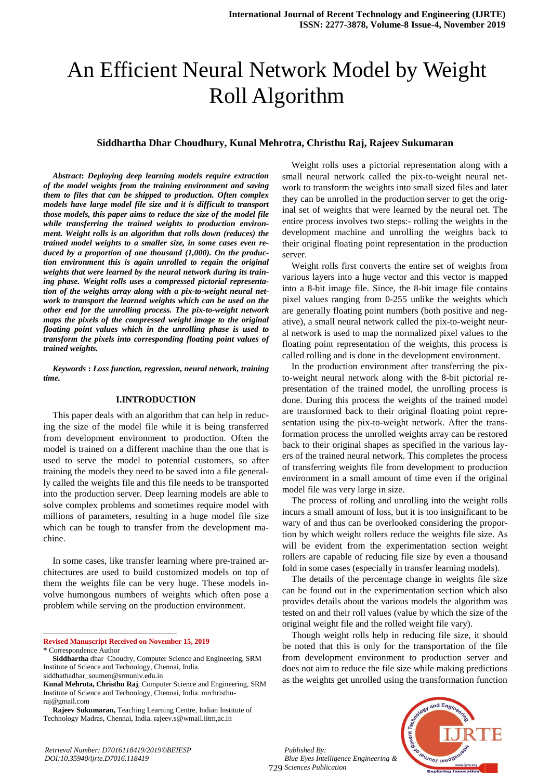# An Efficient Neural Network Model by Weight Roll Algorithm

# **Siddhartha Dhar Choudhury, Kunal Mehrotra, Christhu Raj, Rajeev Sukumaran**

*Abstract***:** *Deploying deep learning models require extraction of the model weights from the training environment and saving them to files that can be shipped to production. Often complex models have large model file size and it is difficult to transport those models, this paper aims to reduce the size of the model file while transferring the trained weights to production environment. Weight rolls is an algorithm that rolls down (reduces) the trained model weights to a smaller size, in some cases even reduced by a proportion of one thousand (1,000). On the production environment this is again unrolled to regain the original weights that were learned by the neural network during its training phase. Weight rolls uses a compressed pictorial representation of the weights array along with a pix-to-weight neural network to transport the learned weights which can be used on the other end for the unrolling process. The pix-to-weight network maps the pixels of the compressed weight image to the original floating point values which in the unrolling phase is used to transform the pixels into corresponding floating point values of trained weights.*

*Keywords* **:** *Loss function, regression, neural network, training time.*

#### **I.INTRODUCTION**

This paper deals with an algorithm that can help in reducing the size of the model file while it is being transferred from development environment to production. Often the model is trained on a different machine than the one that is used to serve the model to potential customers, so after training the models they need to be saved into a file generally called the weights file and this file needs to be transported into the production server. Deep learning models are able to solve complex problems and sometimes require model with millions of parameters, resulting in a huge model file size which can be tough to transfer from the development machine.

In some cases, like transfer learning where pre-trained architectures are used to build customized models on top of them the weights file can be very huge. These models involve humongous numbers of weights which often pose a problem while serving on the production environment.

**Revised Manuscript Received on November 15, 2019 \*** Correspondence Author

l

Weight rolls uses a pictorial representation along with a small neural network called the pix-to-weight neural network to transform the weights into small sized files and later they can be unrolled in the production server to get the original set of weights that were learned by the neural net. The entire process involves two steps:- rolling the weights in the development machine and unrolling the weights back to their original floating point representation in the production server.

Weight rolls first converts the entire set of weights from various layers into a huge vector and this vector is mapped into a 8-bit image file. Since, the 8-bit image file contains pixel values ranging from 0-255 unlike the weights which are generally floating point numbers (both positive and negative), a small neural network called the pix-to-weight neural network is used to map the normalized pixel values to the floating point representation of the weights, this process is called rolling and is done in the development environment.

In the production environment after transferring the pixto-weight neural network along with the 8-bit pictorial representation of the trained model, the unrolling process is done. During this process the weights of the trained model are transformed back to their original floating point representation using the pix-to-weight network. After the transformation process the unrolled weights array can be restored back to their original shapes as specified in the various layers of the trained neural network. This completes the process of transferring weights file from development to production environment in a small amount of time even if the original model file was very large in size.

The process of rolling and unrolling into the weight rolls incurs a small amount of loss, but it is too insignificant to be wary of and thus can be overlooked considering the proportion by which weight rollers reduce the weights file size. As will be evident from the experimentation section weight rollers are capable of reducing file size by even a thousand fold in some cases (especially in transfer learning models).

The details of the percentage change in weights file size can be found out in the experimentation section which also provides details about the various models the algorithm was tested on and their roll values (value by which the size of the original weight file and the rolled weight file vary).

Though weight rolls help in reducing file size, it should be noted that this is only for the transportation of the file from development environment to production server and does not aim to reduce the file size while making predictions as the weights get unrolled using the transformation function



*Published By: Blue Eyes Intelligence Engineering & Sciences Publication* 729

**Siddhartha** dhar Choudry, Computer Science and Engineering, SRM Institute of Science and Technology, Chennai, India. siddhathadhar\_soumen@srmuniv.edu.in

**Kunal Mehrota, Christhu Raj**, Computer Science and Engineering, SRM Institute of Science and Technology, Chennai, India. mrchristhuraj@gmail.com

**Rajeev Sukumaran,** Teaching Learning Centre, Indian Institute of Technology Madras, Chennai, India. rajeev.s@wmail.iitm,ac.in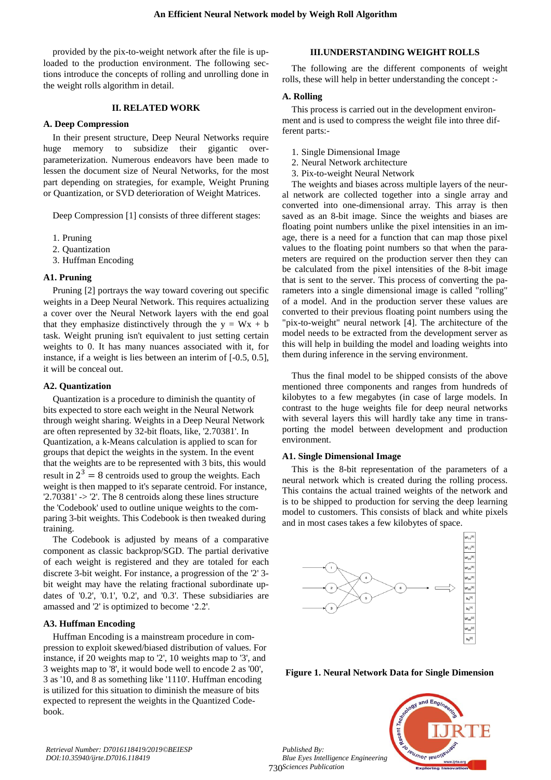provided by the pix-to-weight network after the file is uploaded to the production environment. The following sections introduce the concepts of rolling and unrolling done in the weight rolls algorithm in detail.

# **II. RELATED WORK**

#### **A. Deep Compression**

In their present structure, Deep Neural Networks require huge memory to subsidize their gigantic overparameterization. Numerous endeavors have been made to lessen the document size of Neural Networks, for the most part depending on strategies, for example, Weight Pruning or Quantization, or SVD deterioration of Weight Matrices.

Deep Compression [1] consists of three different stages:

- 1. Pruning
- 2. Quantization
- 3. Huffman Encoding

#### **A1. Pruning**

Pruning [2] portrays the way toward covering out specific weights in a Deep Neural Network. This requires actualizing a cover over the Neural Network layers with the end goal that they emphasize distinctively through the  $y = Wx + b$ task. Weight pruning isn't equivalent to just setting certain weights to 0. It has many nuances associated with it, for instance, if a weight is lies between an interim of [-0.5, 0.5], it will be conceal out.

#### **A2. Quantization**

Quantization is a procedure to diminish the quantity of bits expected to store each weight in the Neural Network through weight sharing. Weights in a Deep Neural Network are often represented by 32-bit floats, like, '2.70381'. In Quantization, a k-Means calculation is applied to scan for groups that depict the weights in the system. In the event that the weights are to be represented with 3 bits, this would result in  $2^3 = 8$  centroids used to group the weights. Each weight is then mapped to it's separate centroid. For instance, '2.70381' -> '2'. The 8 centroids along these lines structure the 'Codebook' used to outline unique weights to the comparing 3-bit weights. This Codebook is then tweaked during training.

The Codebook is adjusted by means of a comparative component as classic backprop/SGD. The partial derivative of each weight is registered and they are totaled for each discrete 3-bit weight. For instance, a progression of the '2' 3 bit weight may have the relating fractional subordinate updates of '0.2', '0.1', '0.2', and '0.3'. These subsidiaries are amassed and '2' is optimized to become '2.2'.

# **A3. Huffman Encoding**

Huffman Encoding is a mainstream procedure in compression to exploit skewed/biased distribution of values. For instance, if 20 weights map to '2', 10 weights map to '3', and 3 weights map to '8', it would bode well to encode 2 as '00', 3 as '10, and 8 as something like '1110'. Huffman encoding is utilized for this situation to diminish the measure of bits expected to represent the weights in the Quantized Codebook.

# **III.UNDERSTANDING WEIGHT ROLLS**

The following are the different components of weight rolls, these will help in better understanding the concept :-

#### **A. Rolling**

This process is carried out in the development environment and is used to compress the weight file into three different parts:-

- 1. Single Dimensional Image
- 2. Neural Network architecture
- 3. Pix-to-weight Neural Network

The weights and biases across multiple layers of the neural network are collected together into a single array and converted into one-dimensional array. This array is then saved as an 8-bit image. Since the weights and biases are floating point numbers unlike the pixel intensities in an image, there is a need for a function that can map those pixel values to the floating point numbers so that when the parameters are required on the production server then they can be calculated from the pixel intensities of the 8-bit image that is sent to the server. This process of converting the parameters into a single dimensional image is called "rolling" of a model. And in the production server these values are converted to their previous floating point numbers using the "pix-to-weight" neural network [4]. The architecture of the model needs to be extracted from the development server as this will help in building the model and loading weights into them during inference in the serving environment.

Thus the final model to be shipped consists of the above mentioned three components and ranges from hundreds of kilobytes to a few megabytes (in case of large models. In contrast to the huge weights file for deep neural networks with several layers this will hardly take any time in transporting the model between development and production environment.

#### **A1. Single Dimensional Image**

This is the 8-bit representation of the parameters of a neural network which is created during the rolling process. This contains the actual trained weights of the network and is to be shipped to production for serving the deep learning model to customers. This consists of black and white pixels and in most cases takes a few kilobytes of space.



**Figure 1. Neural Network Data for Single Dimension**



*Published By: Blue Eyes Intelligence Engineering & Sciences Publication* 730

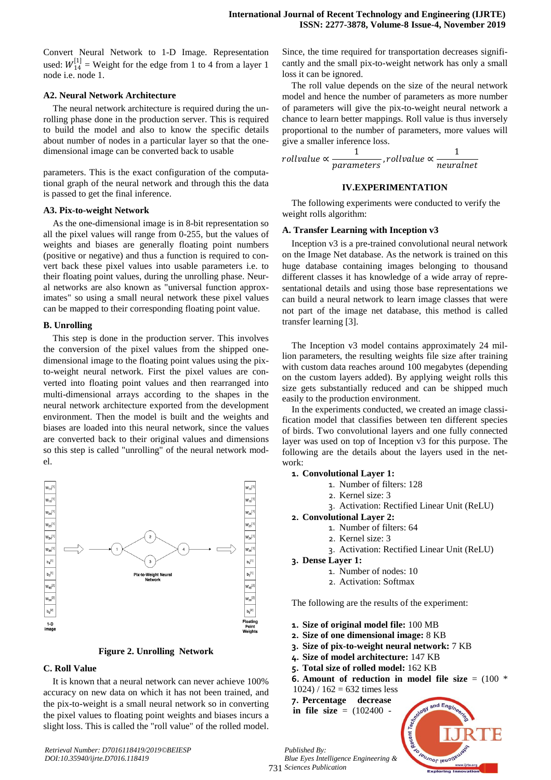Convert Neural Network to 1-D Image. Representation used:  $W_{14}^{[1]}$  = Weight for the edge from 1 to 4 from a layer 1 node i.e. node 1.

#### **A2. Neural Network Architecture**

The neural network architecture is required during the unrolling phase done in the production server. This is required to build the model and also to know the specific details about number of nodes in a particular layer so that the onedimensional image can be converted back to usable

parameters. This is the exact configuration of the computational graph of the neural network and through this the data is passed to get the final inference.

#### **A3. Pix-to-weight Network**

As the one-dimensional image is in 8-bit representation so all the pixel values will range from 0-255, but the values of weights and biases are generally floating point numbers (positive or negative) and thus a function is required to convert back these pixel values into usable parameters i.e. to their floating point values, during the unrolling phase. Neural networks are also known as "universal function approximates" so using a small neural network these pixel values can be mapped to their corresponding floating point value.

#### **B. Unrolling**

This step is done in the production server. This involves the conversion of the pixel values from the shipped onedimensional image to the floating point values using the pixto-weight neural network. First the pixel values are converted into floating point values and then rearranged into multi-dimensional arrays according to the shapes in the neural network architecture exported from the development environment. Then the model is built and the weights and biases are loaded into this neural network, since the values are converted back to their original values and dimensions so this step is called "unrolling" of the neural network model.



**Figure 2. Unrolling Network**

# **C. Roll Value**

It is known that a neural network can never achieve 100% accuracy on new data on which it has not been trained, and the pix-to-weight is a small neural network so in converting the pixel values to floating point weights and biases incurs a slight loss. This is called the "roll value" of the rolled model.

Since, the time required for transportation decreases significantly and the small pix-to-weight network has only a small loss it can be ignored.

The roll value depends on the size of the neural network model and hence the number of parameters as more number of parameters will give the pix-to-weight neural network a chance to learn better mappings. Roll value is thus inversely proportional to the number of parameters, more values will give a smaller inference loss.

$$
rollvalue \propto \frac{1}{parameters}, roll value \propto \frac{1}{neutralnet}
$$

#### **IV.EXPERIMENTATION**

The following experiments were conducted to verify the weight rolls algorithm:

#### **A. Transfer Learning with Inception v3**

Inception v3 is a pre-trained convolutional neural network on the Image Net database. As the network is trained on this huge database containing images belonging to thousand different classes it has knowledge of a wide array of representational details and using those base representations we can build a neural network to learn image classes that were not part of the image net database, this method is called transfer learning [3].

The Inception v3 model contains approximately 24 million parameters, the resulting weights file size after training with custom data reaches around 100 megabytes (depending on the custom layers added). By applying weight rolls this size gets substantially reduced and can be shipped much easily to the production environment.

In the experiments conducted, we created an image classification model that classifies between ten different species of birds. Two convolutional layers and one fully connected layer was used on top of Inception v3 for this purpose. The following are the details about the layers used in the network:

#### **1. Convolutional Layer 1:**

- 1. Number of filters: 128
- 2. Kernel size: 3
- 3. Activation: Rectified Linear Unit (ReLU)
- **2. Convolutional Layer 2:**
	- 1. Number of filters: 64
	- 2. Kernel size: 3
	- 3. Activation: Rectified Linear Unit (ReLU)

#### **3. Dense Layer 1:**

- 1. Number of nodes: 10
- 2. Activation: Softmax

The following are the results of the experiment:

- **1. Size of original model file:** 100 MB
- **2. Size of one dimensional image:** 8 KB
- **3. Size of pix-to-weight neural network:** 7 KB
- **4. Size of model architecture:** 147 KB
- **5. Total size of rolled model:** 162 KB
- **6. Amount of reduction in model file size** = (100 \*
- $1024$ ) /  $162 = 632$  times less
- **7. Percentage decrease**
- **in file size** = (102400 -